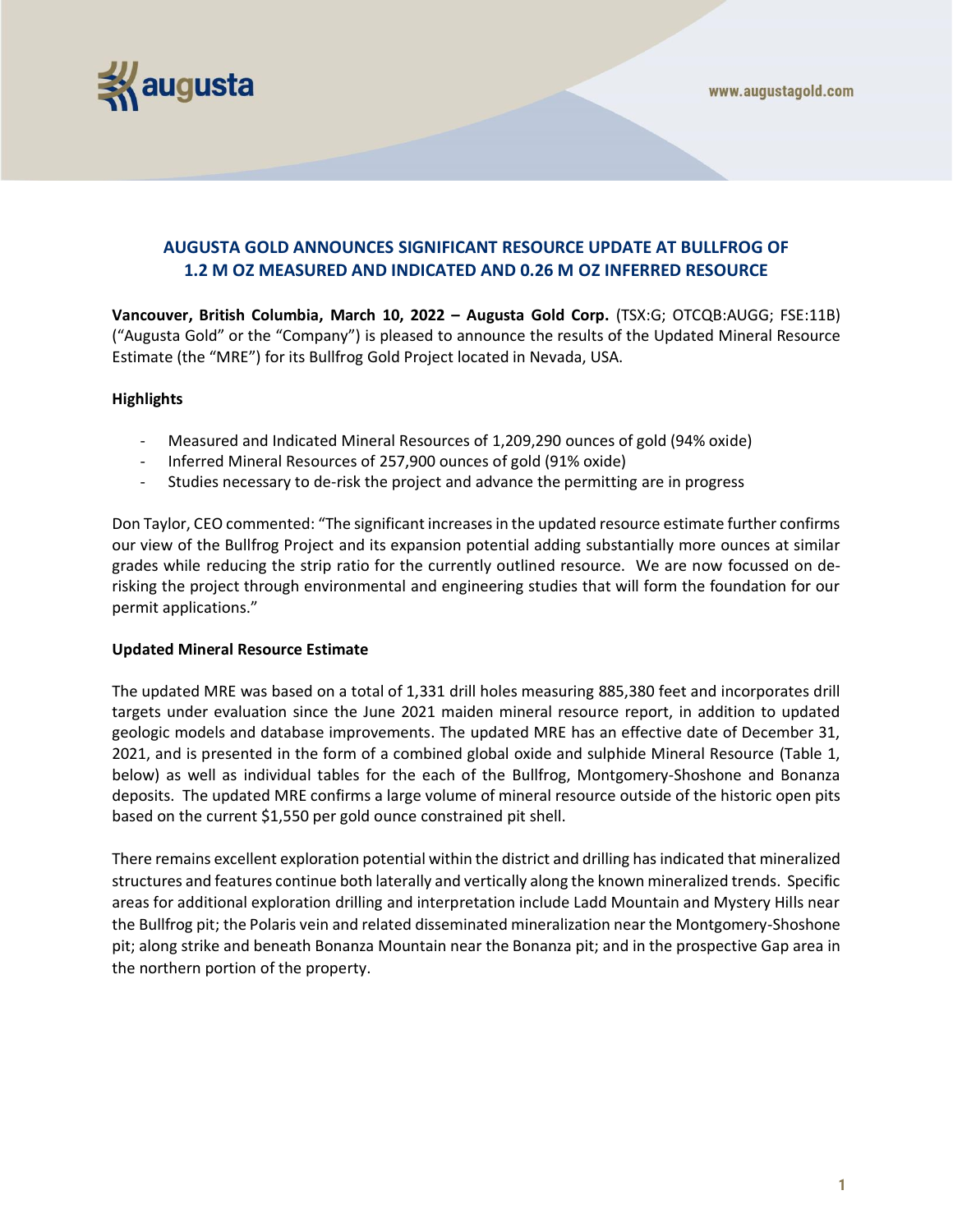



# **AUGUSTA GOLD ANNOUNCES SIGNIFICANT RESOURCE UPDATE AT BULLFROG OF 1.2 M OZ MEASURED AND INDICATED AND 0.26 M OZ INFERRED RESOURCE**

**Vancouver, British Columbia, March 10, 2022 – Augusta Gold Corp.** (TSX:G; OTCQB:AUGG; FSE:11B) ("Augusta Gold" or the "Company") is pleased to announce the results of the Updated Mineral Resource Estimate (the "MRE") for its Bullfrog Gold Project located in Nevada, USA.

# **Highlights**

- Measured and Indicated Mineral Resources of 1,209,290 ounces of gold (94% oxide)
- Inferred Mineral Resources of 257,900 ounces of gold (91% oxide)
- Studies necessary to de-risk the project and advance the permitting are in progress

Don Taylor, CEO commented: "The significant increases in the updated resource estimate further confirms our view of the Bullfrog Project and its expansion potential adding substantially more ounces at similar grades while reducing the strip ratio for the currently outlined resource. We are now focussed on derisking the project through environmental and engineering studies that will form the foundation for our permit applications."

## **Updated Mineral Resource Estimate**

The updated MRE was based on a total of 1,331 drill holes measuring 885,380 feet and incorporates drill targets under evaluation since the June 2021 maiden mineral resource report, in addition to updated geologic models and database improvements. The updated MRE has an effective date of December 31, 2021, and is presented in the form of a combined global oxide and sulphide Mineral Resource (Table 1, below) as well as individual tables for the each of the Bullfrog, Montgomery-Shoshone and Bonanza deposits. The updated MRE confirms a large volume of mineral resource outside of the historic open pits based on the current \$1,550 per gold ounce constrained pit shell.

There remains excellent exploration potential within the district and drilling has indicated that mineralized structures and features continue both laterally and vertically along the known mineralized trends. Specific areas for additional exploration drilling and interpretation include Ladd Mountain and Mystery Hills near the Bullfrog pit; the Polaris vein and related disseminated mineralization near the Montgomery-Shoshone pit; along strike and beneath Bonanza Mountain near the Bonanza pit; and in the prospective Gap area in the northern portion of the property.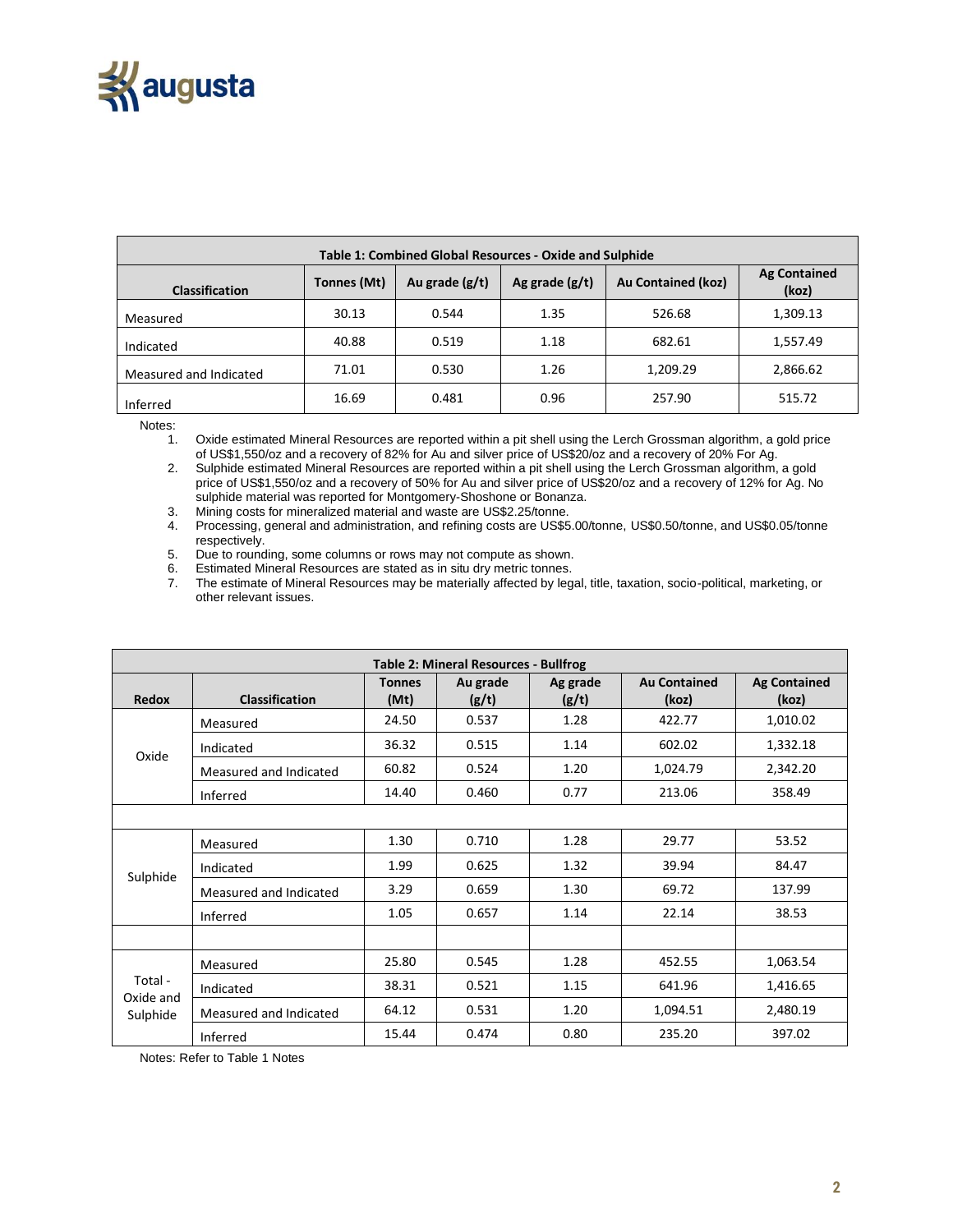

| Table 1: Combined Global Resources - Oxide and Sulphide |             |                  |                  |                           |                              |  |  |  |
|---------------------------------------------------------|-------------|------------------|------------------|---------------------------|------------------------------|--|--|--|
| <b>Classification</b>                                   | Tonnes (Mt) | Au grade $(g/t)$ | Ag grade $(g/t)$ | <b>Au Contained (koz)</b> | <b>Ag Contained</b><br>(koz) |  |  |  |
| Measured                                                | 30.13       | 0.544            | 1.35             | 526.68                    | 1,309.13                     |  |  |  |
| Indicated                                               | 40.88       | 0.519            | 1.18             | 682.61                    | 1,557.49                     |  |  |  |
| Measured and Indicated                                  | 71.01       | 0.530            | 1.26             | 1,209.29                  | 2,866.62                     |  |  |  |
| Inferred                                                | 16.69       | 0.481            | 0.96             | 257.90                    | 515.72                       |  |  |  |

Notes:

1. Oxide estimated Mineral Resources are reported within a pit shell using the Lerch Grossman algorithm, a gold price of US\$1,550/oz and a recovery of 82% for Au and silver price of US\$20/oz and a recovery of 20% For Ag.

2. Sulphide estimated Mineral Resources are reported within a pit shell using the Lerch Grossman algorithm, a gold price of US\$1,550/oz and a recovery of 50% for Au and silver price of US\$20/oz and a recovery of 12% for Ag. No sulphide material was reported for Montgomery-Shoshone or Bonanza.

3. Mining costs for mineralized material and waste are US\$2.25/tonne.<br>4. Processing, general and administration, and refining costs are US\$5 4. Processing, general and administration, and refining costs are US\$5.00/tonne, US\$0.50/tonne, and US\$0.05/tonne respectively.

5. Due to rounding, some columns or rows may not compute as shown.<br>6. Estimated Mineral Resources are stated as in situ dry metric tonnes. 6. Estimated Mineral Resources are stated as in situ dry metric tonnes.<br>7. The estimate of Mineral Resources may be materially affected by leg

The estimate of Mineral Resources may be materially affected by legal, title, taxation, socio-political, marketing, or other relevant issues.

| <b>Table 2: Mineral Resources - Bullfrog</b> |                                                                                                                                                                                                                                                                                                                                                                                                                                                                                                                                                                           |                       |                   |                   |                              |                              |  |  |
|----------------------------------------------|---------------------------------------------------------------------------------------------------------------------------------------------------------------------------------------------------------------------------------------------------------------------------------------------------------------------------------------------------------------------------------------------------------------------------------------------------------------------------------------------------------------------------------------------------------------------------|-----------------------|-------------------|-------------------|------------------------------|------------------------------|--|--|
| <b>Redox</b>                                 | <b>Classification</b>                                                                                                                                                                                                                                                                                                                                                                                                                                                                                                                                                     | <b>Tonnes</b><br>(Mt) | Au grade<br>(g/t) | Ag grade<br>(g/t) | <b>Au Contained</b><br>(koz) | <b>Ag Contained</b><br>(koz) |  |  |
|                                              | Measured                                                                                                                                                                                                                                                                                                                                                                                                                                                                                                                                                                  | 24.50                 | 0.537             | 1.28              | 422.77                       | 1,010.02                     |  |  |
|                                              | 36.32<br>602.02<br>0.515<br>1.14<br>Indicated<br>60.82<br>0.524<br>1.20<br>1,024.79<br>Measured and Indicated<br>0.77<br>213.06<br>14.40<br>0.460<br>Inferred<br>1.30<br>1.28<br>29.77<br>0.710<br>Measured<br>1.99<br>1.32<br>0.625<br>39.94<br>Indicated<br>3.29<br>1.30<br>69.72<br>0.659<br>Measured and Indicated<br>1.05<br>0.657<br>1.14<br>22.14<br>Inferred<br>25.80<br>0.545<br>1.28<br>452.55<br>Measured<br>38.31<br>0.521<br>1.15<br>641.96<br>Indicated<br>64.12<br>1.20<br>0.531<br>1,094.51<br>Measured and Indicated<br>0.80<br>235.20<br>15.44<br>0.474 | 1,332.18              |                   |                   |                              |                              |  |  |
| Oxide                                        |                                                                                                                                                                                                                                                                                                                                                                                                                                                                                                                                                                           |                       |                   |                   |                              | 2,342.20                     |  |  |
|                                              |                                                                                                                                                                                                                                                                                                                                                                                                                                                                                                                                                                           |                       |                   |                   |                              | 358.49                       |  |  |
|                                              |                                                                                                                                                                                                                                                                                                                                                                                                                                                                                                                                                                           |                       |                   |                   |                              |                              |  |  |
| Sulphide                                     |                                                                                                                                                                                                                                                                                                                                                                                                                                                                                                                                                                           |                       |                   |                   |                              | 53.52                        |  |  |
|                                              |                                                                                                                                                                                                                                                                                                                                                                                                                                                                                                                                                                           |                       |                   |                   |                              | 84.47                        |  |  |
|                                              |                                                                                                                                                                                                                                                                                                                                                                                                                                                                                                                                                                           |                       |                   |                   |                              | 137.99                       |  |  |
|                                              |                                                                                                                                                                                                                                                                                                                                                                                                                                                                                                                                                                           |                       |                   |                   |                              | 38.53                        |  |  |
|                                              |                                                                                                                                                                                                                                                                                                                                                                                                                                                                                                                                                                           |                       |                   |                   |                              |                              |  |  |
| Total -<br>Oxide and<br>Sulphide             |                                                                                                                                                                                                                                                                                                                                                                                                                                                                                                                                                                           |                       |                   |                   |                              | 1,063.54                     |  |  |
|                                              |                                                                                                                                                                                                                                                                                                                                                                                                                                                                                                                                                                           |                       |                   |                   |                              | 1,416.65                     |  |  |
|                                              |                                                                                                                                                                                                                                                                                                                                                                                                                                                                                                                                                                           |                       |                   |                   |                              | 2,480.19                     |  |  |
|                                              | Inferred                                                                                                                                                                                                                                                                                                                                                                                                                                                                                                                                                                  |                       |                   |                   |                              | 397.02                       |  |  |

Notes: Refer to Table 1 Notes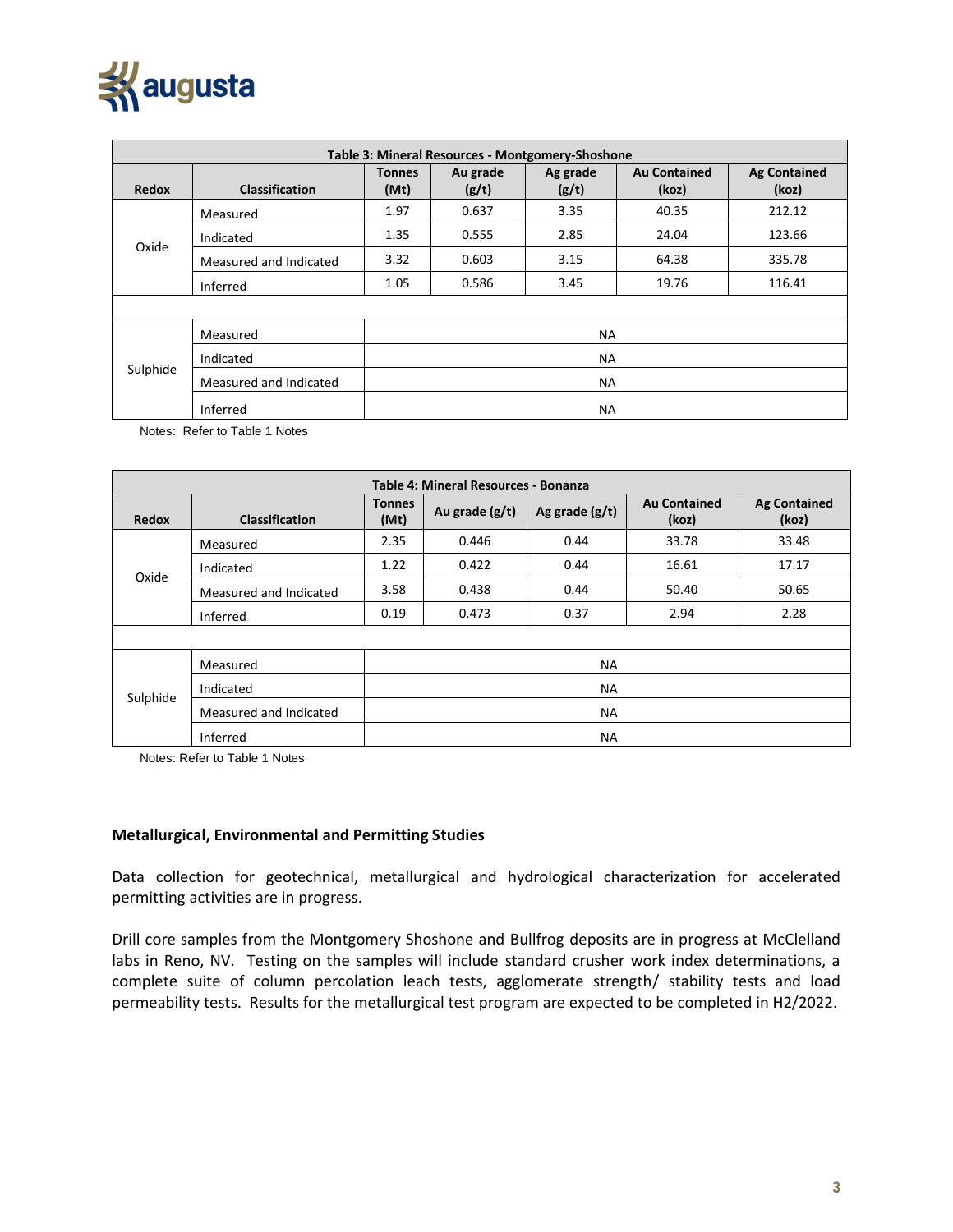

| Table 3: Mineral Resources - Montgomery-Shoshone |                        |                       |                   |                   |                              |                              |  |  |
|--------------------------------------------------|------------------------|-----------------------|-------------------|-------------------|------------------------------|------------------------------|--|--|
| <b>Redox</b>                                     | <b>Classification</b>  | <b>Tonnes</b><br>(Mt) | Au grade<br>(g/t) | Ag grade<br>(g/t) | <b>Au Contained</b><br>(koz) | <b>Ag Contained</b><br>(koz) |  |  |
| Oxide                                            | Measured               | 1.97                  | 0.637             | 3.35              | 40.35                        | 212.12                       |  |  |
|                                                  | Indicated              | 1.35                  | 0.555             | 2.85              | 24.04                        | 123.66                       |  |  |
|                                                  | Measured and Indicated | 3.32                  | 0.603             | 3.15              | 64.38                        | 335.78                       |  |  |
|                                                  | Inferred               | 1.05                  | 0.586             | 3.45              | 19.76                        | 116.41                       |  |  |
|                                                  |                        |                       |                   |                   |                              |                              |  |  |
| Sulphide                                         | Measured               | <b>NA</b>             |                   |                   |                              |                              |  |  |
|                                                  | Indicated              | <b>NA</b>             |                   |                   |                              |                              |  |  |
|                                                  | Measured and Indicated | <b>NA</b>             |                   |                   |                              |                              |  |  |
|                                                  | Inferred               | <b>NA</b>             |                   |                   |                              |                              |  |  |

Notes: Refer to Table 1 Notes

| Table 4: Mineral Resources - Bonanza |                                                                                                                                                                               |                       |                  |                  |                                                                                     |                              |  |  |
|--------------------------------------|-------------------------------------------------------------------------------------------------------------------------------------------------------------------------------|-----------------------|------------------|------------------|-------------------------------------------------------------------------------------|------------------------------|--|--|
| <b>Redox</b>                         | <b>Classification</b>                                                                                                                                                         | <b>Tonnes</b><br>(Mt) | Au grade $(g/t)$ | Ag grade $(g/t)$ | <b>Au Contained</b><br>(koz)                                                        | <b>Ag Contained</b><br>(koz) |  |  |
|                                      | Measured                                                                                                                                                                      | 2.35                  | 0.446            | 0.44             | 33.78<br>16.61<br>50.40<br>2.94<br><b>NA</b><br><b>NA</b><br><b>NA</b><br><b>NA</b> | 33.48                        |  |  |
|                                      | 0.422<br>0.44<br>1.22<br>Indicated<br>0.438<br>3.58<br>0.44<br>Measured and Indicated<br>0.37<br>0.19<br>0.473<br>Inferred<br>Measured<br>Indicated<br>Measured and Indicated | 17.17                 |                  |                  |                                                                                     |                              |  |  |
| Oxide                                |                                                                                                                                                                               |                       |                  |                  |                                                                                     | 50.65                        |  |  |
|                                      |                                                                                                                                                                               |                       |                  |                  |                                                                                     | 2.28                         |  |  |
|                                      |                                                                                                                                                                               |                       |                  |                  |                                                                                     |                              |  |  |
| Sulphide                             |                                                                                                                                                                               |                       |                  |                  |                                                                                     |                              |  |  |
|                                      |                                                                                                                                                                               |                       |                  |                  |                                                                                     |                              |  |  |
|                                      |                                                                                                                                                                               |                       |                  |                  |                                                                                     |                              |  |  |
|                                      | Inferred                                                                                                                                                                      |                       |                  |                  |                                                                                     |                              |  |  |

Notes: Refer to Table 1 Notes

#### **Metallurgical, Environmental and Permitting Studies**

Data collection for geotechnical, metallurgical and hydrological characterization for accelerated permitting activities are in progress.

Drill core samples from the Montgomery Shoshone and Bullfrog deposits are in progress at McClelland labs in Reno, NV. Testing on the samples will include standard crusher work index determinations, a complete suite of column percolation leach tests, agglomerate strength/ stability tests and load permeability tests. Results for the metallurgical test program are expected to be completed in H2/2022.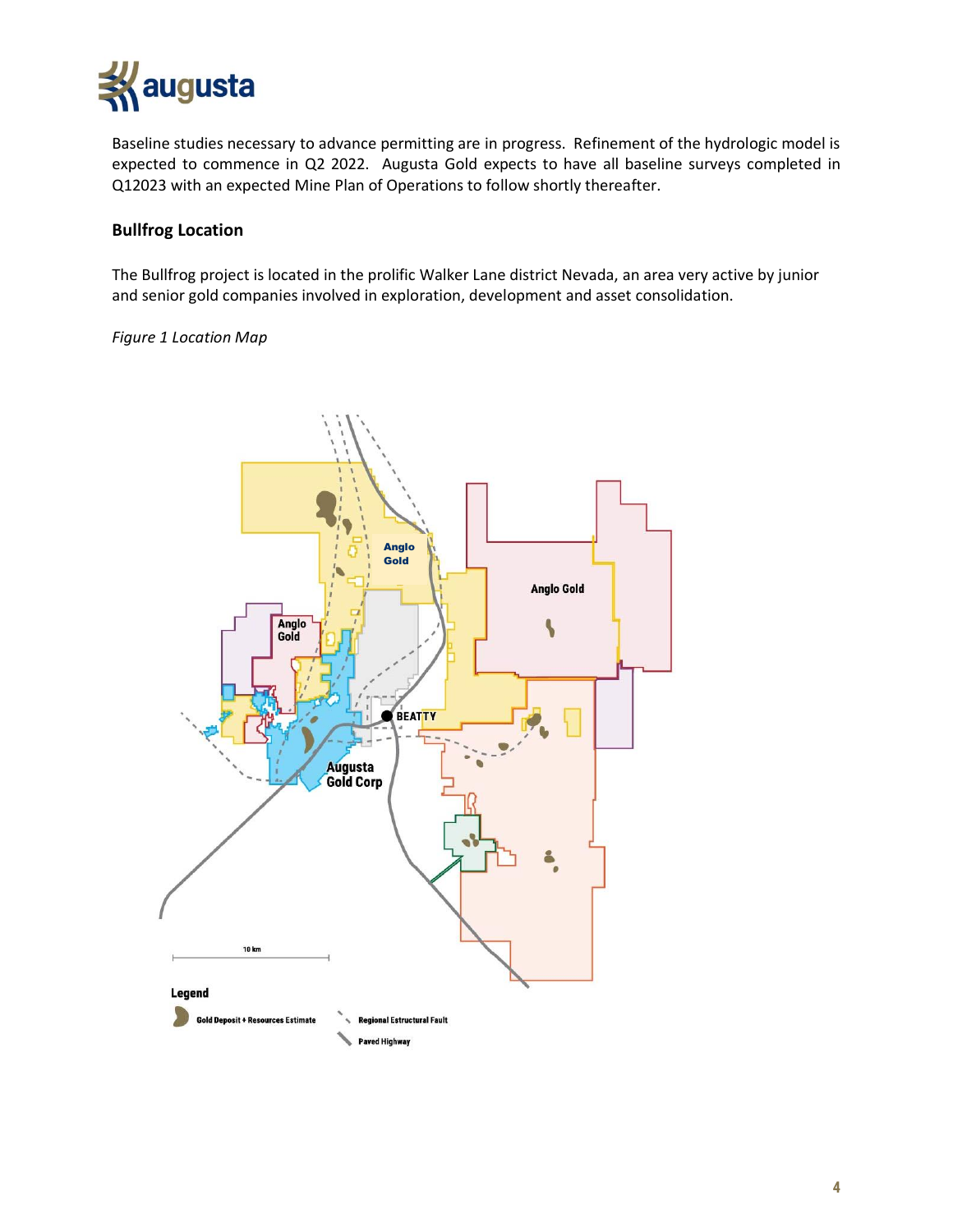

Baseline studies necessary to advance permitting are in progress. Refinement of the hydrologic model is expected to commence in Q2 2022. Augusta Gold expects to have all baseline surveys completed in Q12023 with an expected Mine Plan of Operations to follow shortly thereafter.

# **Bullfrog Location**

The Bullfrog project is located in the prolific Walker Lane district Nevada, an area very active by junior and senior gold companies involved in exploration, development and asset consolidation.

## *Figure 1 Location Map*

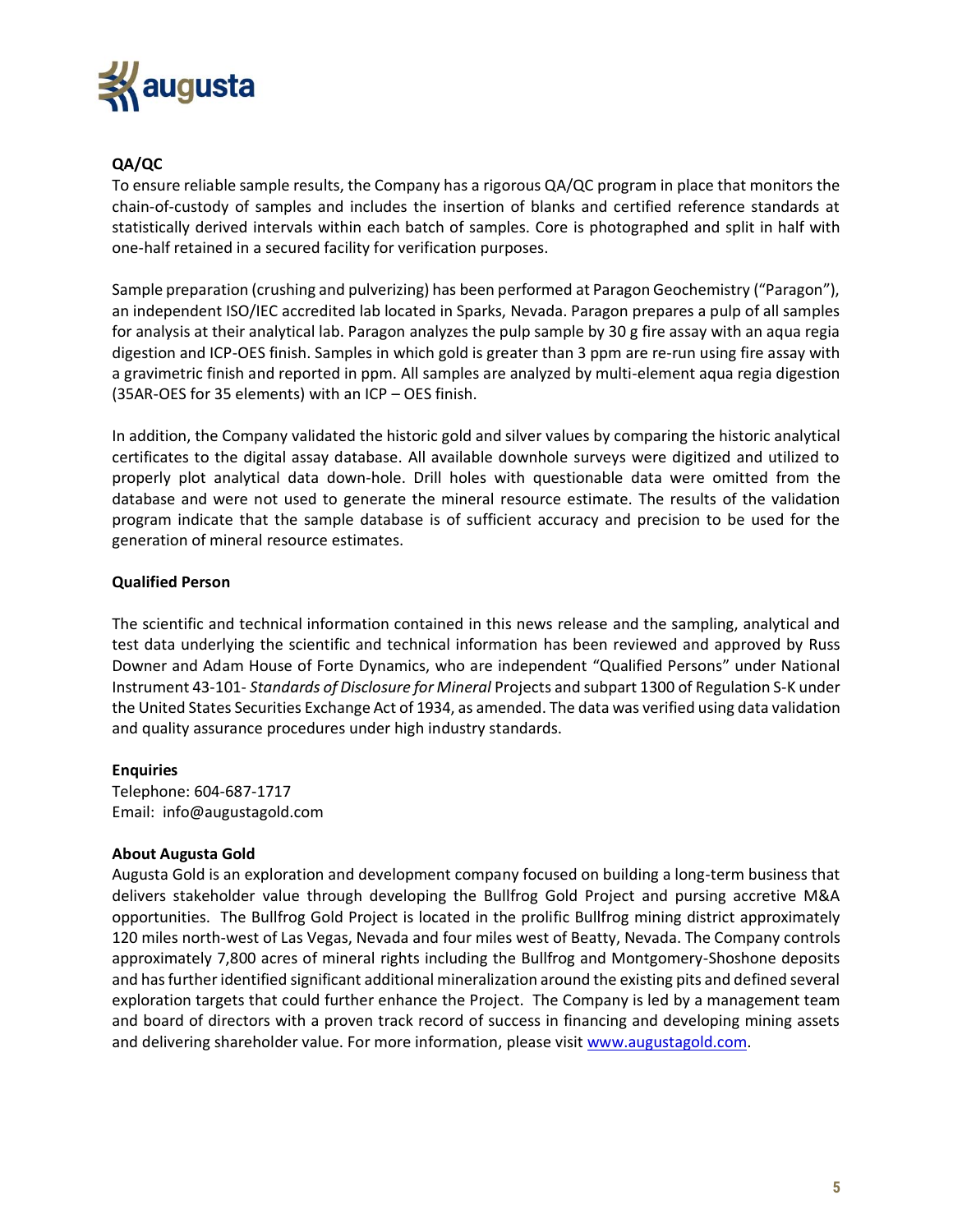

# **QA/QC**

To ensure reliable sample results, the Company has a rigorous QA/QC program in place that monitors the chain-of-custody of samples and includes the insertion of blanks and certified reference standards at statistically derived intervals within each batch of samples. Core is photographed and split in half with one-half retained in a secured facility for verification purposes.

Sample preparation (crushing and pulverizing) has been performed at Paragon Geochemistry ("Paragon"), an independent ISO/IEC accredited lab located in Sparks, Nevada. Paragon prepares a pulp of all samples for analysis at their analytical lab. Paragon analyzes the pulp sample by 30 g fire assay with an aqua regia digestion and ICP-OES finish. Samples in which gold is greater than 3 ppm are re-run using fire assay with a gravimetric finish and reported in ppm. All samples are analyzed by multi-element aqua regia digestion (35AR-OES for 35 elements) with an ICP – OES finish.

In addition, the Company validated the historic gold and silver values by comparing the historic analytical certificates to the digital assay database. All available downhole surveys were digitized and utilized to properly plot analytical data down-hole. Drill holes with questionable data were omitted from the database and were not used to generate the mineral resource estimate. The results of the validation program indicate that the sample database is of sufficient accuracy and precision to be used for the generation of mineral resource estimates.

## **Qualified Person**

The scientific and technical information contained in this news release and the sampling, analytical and test data underlying the scientific and technical information has been reviewed and approved by Russ Downer and Adam House of Forte Dynamics, who are independent "Qualified Persons" under National Instrument 43-101- *Standards of Disclosure for Mineral* Projects and subpart 1300 of Regulation S-K under the United States Securities Exchange Act of 1934, as amended. The data was verified using data validation and quality assurance procedures under high industry standards.

## **Enquiries**

Telephone: 604-687-1717 Email: info@augustagold.com

#### **About Augusta Gold**

Augusta Gold is an exploration and development company focused on building a long-term business that delivers stakeholder value through developing the Bullfrog Gold Project and pursing accretive M&A opportunities. The Bullfrog Gold Project is located in the prolific Bullfrog mining district approximately 120 miles north-west of Las Vegas, Nevada and four miles west of Beatty, Nevada. The Company controls approximately 7,800 acres of mineral rights including the Bullfrog and Montgomery-Shoshone deposits and has further identified significant additional mineralization around the existing pits and defined several exploration targets that could further enhance the Project. The Company is led by a management team and board of directors with a proven track record of success in financing and developing mining assets and delivering shareholder value. For more information, please visit [www.augustagold.com.](http://www.augustagold.com/)